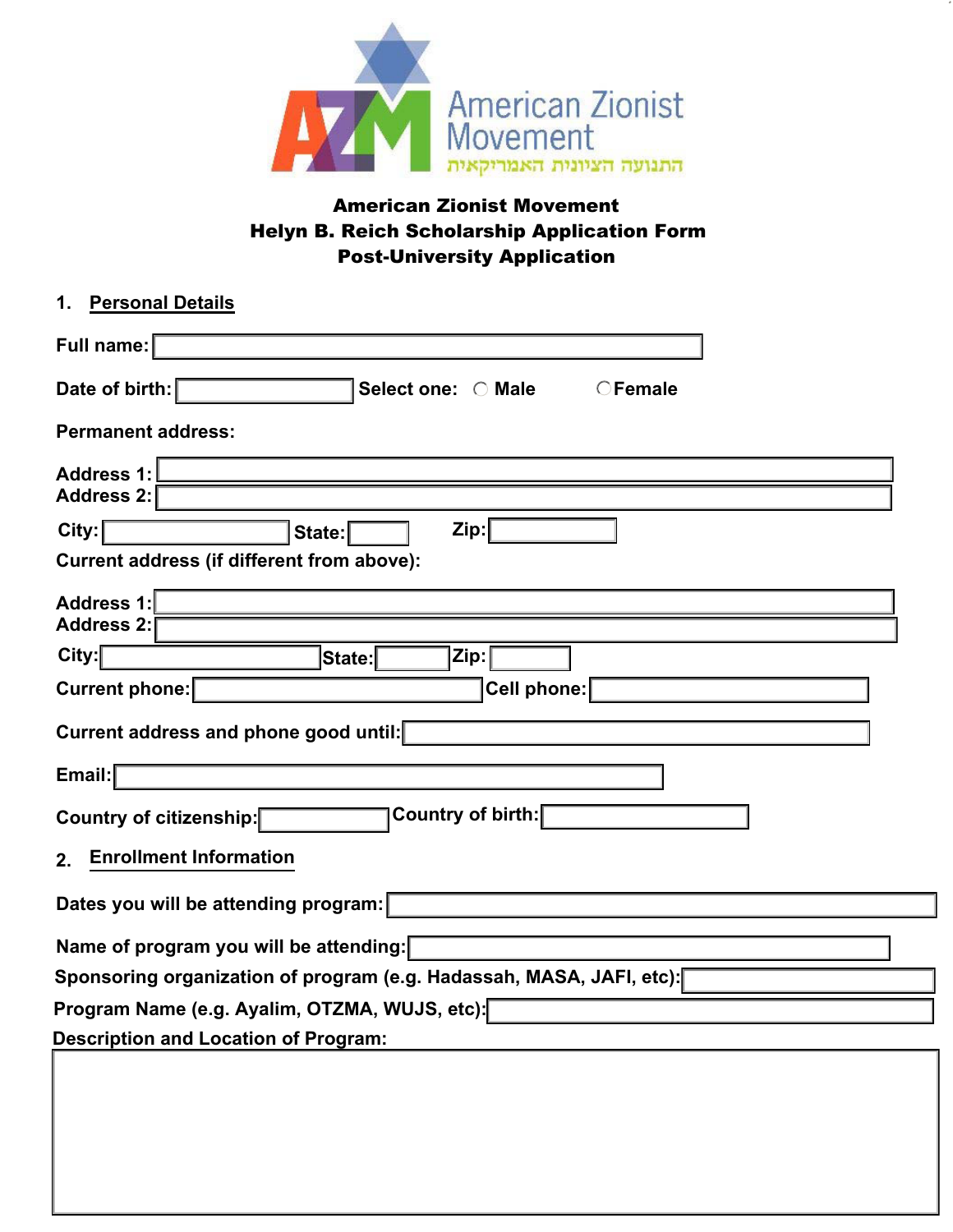

# American Zionist Movement Helyn B. Reich Scholarship Application Form Post-University Application

| <b>Personal Details</b><br>1.                                         |
|-----------------------------------------------------------------------|
| Full name:                                                            |
| Date of birth:<br>Select one: O Male<br>$\bigcirc$ Female             |
| <b>Permanent address:</b>                                             |
| <b>Address 1:</b><br>Address 2:                                       |
| City:<br>Zip:<br>State:<br>Current address (if different from above): |
| <b>Address 1:</b>                                                     |
| Address 2:                                                            |
| City:<br>Zip:<br>State:                                               |
| Current phone:<br>Cell phone:                                         |
| Current address and phone good until:                                 |
| Email:                                                                |
| Country of birth:<br>Country of citizenship:                          |
| <b>Enrollment Information</b><br>2.                                   |
| Dates you will be attending program:                                  |
| Name of program you will be attending:                                |
| Sponsoring organization of program (e.g. Hadassah, MASA, JAFI, etc):[ |
| Program Name (e.g. Ayalim, OTZMA, WUJS, etc):                         |
| <b>Description and Location of Program:</b>                           |
|                                                                       |
|                                                                       |
|                                                                       |
|                                                                       |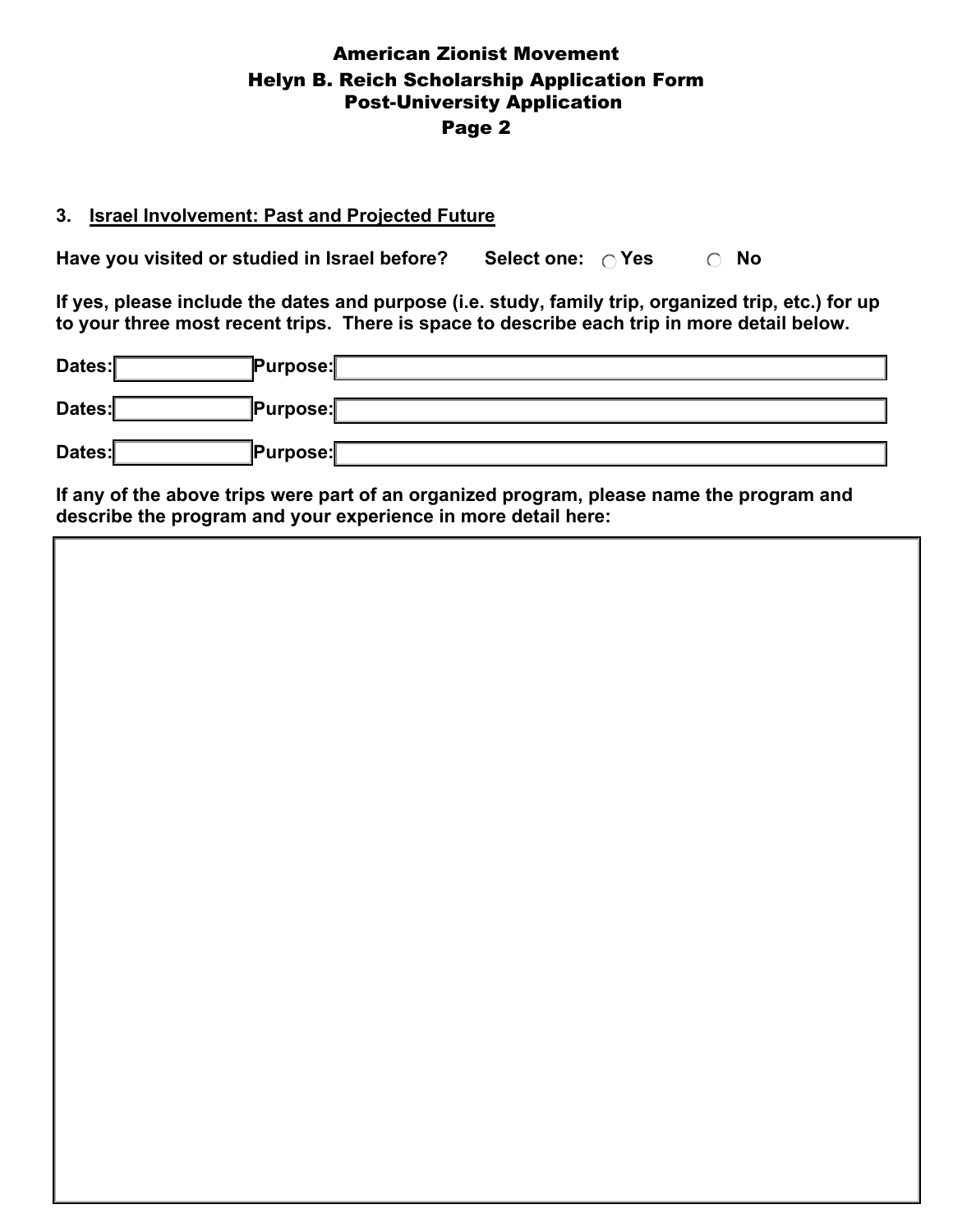## American Zionist Movement Helyn B. Reich Scholarship Application Form Page 2 Post-University Application

#### **3. Israel Involvement: Past and Projected Future**

**Have you visited or studied in Israel before?** Select one:  $\bigcirc$  Yes  $\bigcirc$  No

**If yes, please include the dates and purpose (i.e. study, family trip, organized trip, etc.) for up to your three most recent trips. There is space to describe each trip in more detail below.** 

| Dates: | <b>Purpose:</b> |
|--------|-----------------|
| Dates: | <b>Purpose:</b> |
| Dates: | Purpose:        |

**If any of the above trips were part of an organized program, please name the program and describe the program and your experience in more detail here:**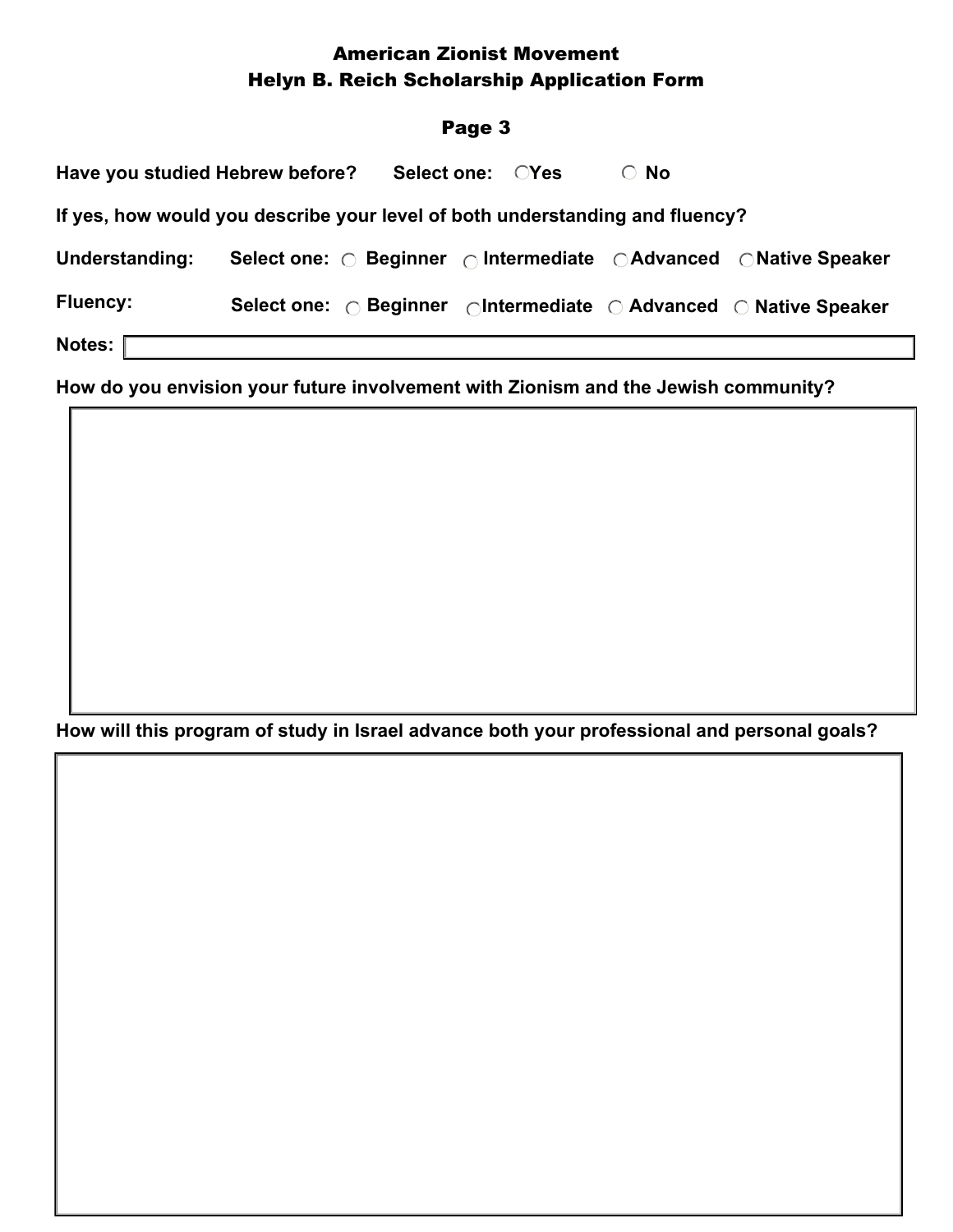# American Zionist Movement Helyn B. Reich Scholarship Application Form

#### Page 3

| Have you studied Hebrew before?                                              |  | Select one: CYes |  | $\circ$ No |                                                                                                       |  |
|------------------------------------------------------------------------------|--|------------------|--|------------|-------------------------------------------------------------------------------------------------------|--|
| If yes, how would you describe your level of both understanding and fluency? |  |                  |  |            |                                                                                                       |  |
| <b>Understanding:</b>                                                        |  |                  |  |            | Select one: O Beginner O Intermediate O Advanced O Native Speaker                                     |  |
| <b>Fluency:</b>                                                              |  |                  |  |            | Select one: $\bigcirc$ Beginner $\bigcirc$ Intermediate $\bigcirc$ Advanced $\bigcirc$ Native Speaker |  |
| Notes:                                                                       |  |                  |  |            |                                                                                                       |  |

**How do you envision your future involvement with Zionism and the Jewish community?** 

**How will this program of study in Israel advance both your professional and personal goals?**